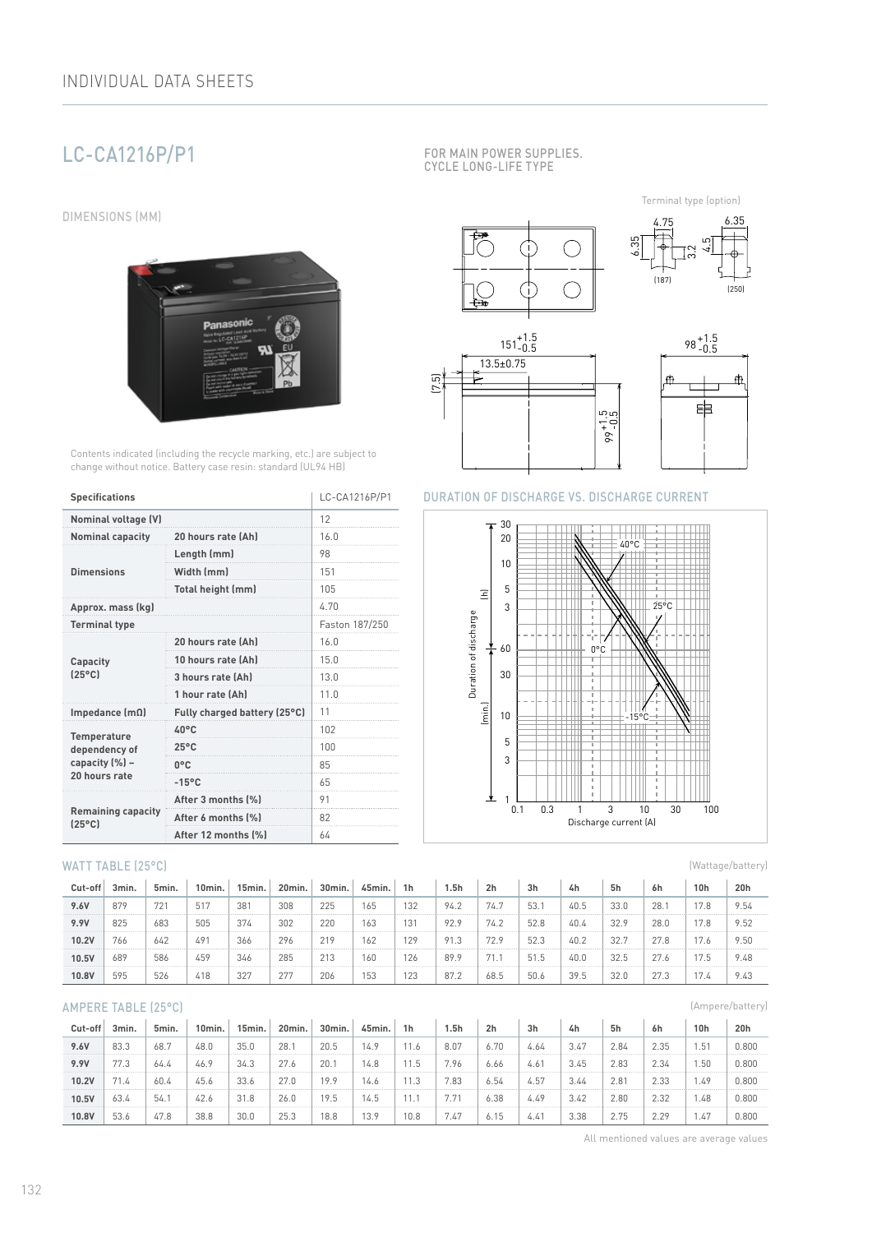# LC-CA1216P/P1

DIMENSIONS (MM)



Contents indicated (including the recycle marking, etc.) are subject to change without notice. Battery case resin: standard (UL94 HB)

| <b>Specifications</b>                        | LC-CA1216P/P1                |      |  |  |  |
|----------------------------------------------|------------------------------|------|--|--|--|
| <b>Nominal voltage (V)</b>                   | 12                           |      |  |  |  |
| <b>Nominal capacity</b>                      | 20 hours rate (Ah)           | 16.0 |  |  |  |
|                                              | Length (mm)                  | 98   |  |  |  |
| <b>Dimensions</b>                            | Width (mm)                   | 151  |  |  |  |
|                                              | Total height (mm)            | 105  |  |  |  |
| Approx. mass (kg)                            | 4.70                         |      |  |  |  |
| <b>Terminal type</b>                         | Faston 187/250               |      |  |  |  |
|                                              | 20 hours rate (Ah)           | 16.0 |  |  |  |
| Capacity                                     | 10 hours rate (Ah)           | 15.0 |  |  |  |
| $(25^{\circ}C)$                              | 3 hours rate (Ah)            | 13.0 |  |  |  |
|                                              | 1 hour rate (Ah)             | 11.0 |  |  |  |
| Impedance $(m\Omega)$                        | Fully charged battery (25°C) | 11   |  |  |  |
| <b>Temperature</b>                           | 40°C                         | 102  |  |  |  |
| dependency of                                | $25^{\circ}$ C               | 100  |  |  |  |
| capacity (%) -                               | $0^{\circ}$ C                | 85   |  |  |  |
| 20 hours rate                                | $-15^{\circ}$ C              | 65   |  |  |  |
|                                              | After 3 months (%)           | 91   |  |  |  |
| <b>Remaining capacity</b><br>$(25^{\circ}C)$ | After 6 months (%)           | 82   |  |  |  |
|                                              | After 12 months [%]          | 64   |  |  |  |

## WATT TABLE (25°C)

| Cut-off | 3min. | 5min. | 10min. | 15min. | 20min. | 30 <sub>min</sub> | 45min. | 1h  | 5h   | 2 <sub>h</sub> | 3h   | 4h   | 5h   | 6h   | 10 <sub>h</sub> | 20h  |
|---------|-------|-------|--------|--------|--------|-------------------|--------|-----|------|----------------|------|------|------|------|-----------------|------|
| 9.6V    | 879   | 721   | 517    | 381    | 308    | 225               | 165    | 132 | 94.2 | 74.7           | 53.7 | 40.5 | 33.0 | 28.  | 17.8            | 9.54 |
| 9.9V    | 825   | 683   | 505    | 374    | 302    | 220               | 163    | 131 | 92.9 | 74.2           | 52.8 | 40.4 | 32.9 | 28.0 | 17.8            | 9.52 |
| 10.2V   | 766   | 642   | 49     | 366    | 296    | 219               | 162    | 129 | 91.3 | 72.9           | 52.3 | 40.2 | 32.  | 27.8 | 17.6            | 9.50 |
| 10.5V   | 689   | 586   | 459    | 346    | 285    | 213               | 160    | 126 | 89.9 |                | 51.5 | 40.0 | 32.5 | 27.6 | 17.5            | 9.48 |
| 10.8V   | 595   | 526   | 418    | 327    | 277    | 206               | 153    | 123 | 87.2 | 68.5           | 50.6 | 39.5 | 32.0 | 27.3 | 17.4            | 9.43 |

## AMPERE TABLE (25°C)

| Cut-off | 3min. | 5min. | 10 <sub>min</sub> | 15min. | 20min. | 30min. | 45min. | 1 <sub>h</sub> | 5h   | 2 <sub>h</sub> | 3 <sub>h</sub> | 4h   | 5h   | 6h   | 10 <sub>h</sub> | 20h   |
|---------|-------|-------|-------------------|--------|--------|--------|--------|----------------|------|----------------|----------------|------|------|------|-----------------|-------|
| 9.6V    | 83.3  | 68.7  | 48.0              | 35.0   | 28.1   | 20.5   | 14.9   |                | 8.07 | 6.70           | 4.64           | 3.47 | 2.84 | 2.35 | .5 <sup>1</sup> | 0.800 |
| 9.9V    | 77.3  | 64.4  | 46.9              | 34.3   | 27.6   | 20.    | 14.8   | l 1.5          | 7.96 | 6.66           | 4.61           | 3.45 | 2.83 | 2.34 | 1.50            | 0.800 |
| 10.2V   | 71.4  | 60.4  | 45.6              | 33.6   | 27.0   | 19.9   | 14.6   |                | 7.83 | 6.54           | 4.57           | 3.44 | 2.81 | 2.33 | 49              | 0.800 |
| 10.5V   | 63.4  | 54.1  | 42.6              | 31.8   | 26.0   | 19.5   | 14.5   |                |      | 6.38           | 4.49           | 3.42 | 2.80 | 2.32 | 1.48            | 0.800 |
| 10.8V   | 53.6  | 47.8  | 38.8              | 30.0   | 25.3   | 18.8   | 13.9   | 10.8           | .47  | 6.15           | 4.41           | 3.38 | 2.75 | 2.29 | .47             | 0.800 |

FOR MAIN POWER SUPPLIES. CYCLE LONG-LIFE TYPE

È

6.35 4.75 6.35 5<br>4  $\bigcirc$ 3.2

(187)

Terminal type (option)



ŒΓ

Œ.



(250)

## DURATION OF DISCHARGE VS. DISCHARGE CURRENT

 $\bigcirc$ 



(Wattage/battery)

(Ampere/battery)

All mentioned values are average values

132